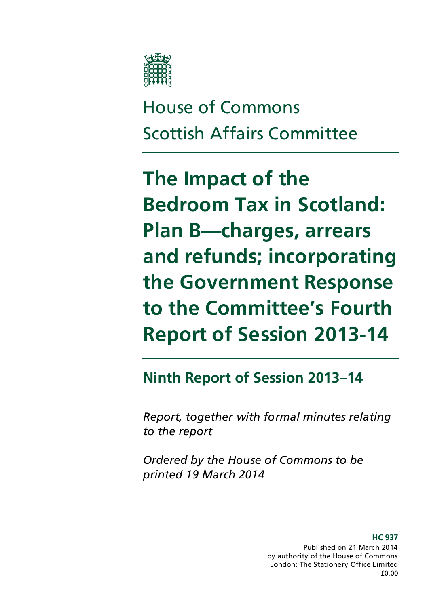

House of Commons Scottish Affairs Committee

**The Impact of the Bedroom Tax in Scotland: Plan B—charges, arrears and refunds; incorporating the Government Response to the Committee's Fourth Report of Session 2013-14**

## **Ninth Report of Session 2013–14**

*Report, together with formal minutes relating to the report*

*Ordered by the House of Commons to be printed 19 March 2014*

> **HC 937**  Published on 21 March 2014 by authority of the House of Commons London: The Stationery Office Limited £0.00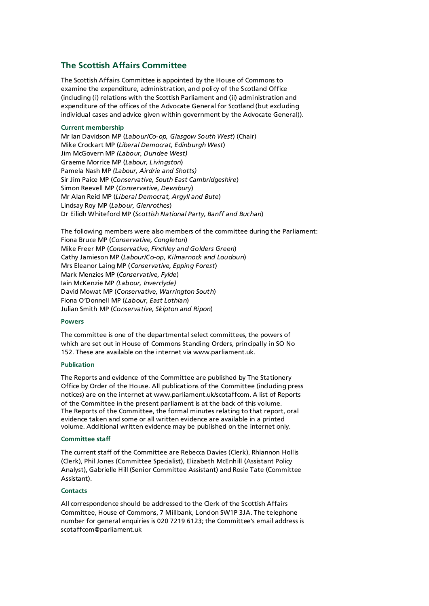#### **The Scottish Affairs Committee**

The Scottish Affairs Committee is appointed by the House of Commons to examine the expenditure, administration, and policy of the Scotland Office (including (i) relations with the Scottish Parliament and (ii) administration and expenditure of the offices of the Advocate General for Scotland (but excluding individual cases and advice given within government by the Advocate General)).

#### **Current membership**

Mr Ian Davidson MP (*Labour/Co-op, Glasgow South West*) (Chair) Mike Crockart MP (*Liberal Democrat, Edinburgh West*) Jim McGovern MP *(Labour, Dundee West)* Graeme Morrice MP (*Labour, Livingston*) Pamela Nash MP *(Labour, Airdrie and Shotts)* Sir Jim Paice MP (*Conservative, South East Cambridgeshire*) Simon Reevell MP (*Conservative, Dewsbury*) Mr Alan Reid MP (*Liberal Democrat, Argyll and Bute*) Lindsay Roy MP (*Labour, Glenrothes*) Dr Eilidh Whiteford MP (*Scottish National Party, Banff and Buchan*)

The following members were also members of the committee during the Parliament: Fiona Bruce MP (*Conservative, Congleton*) Mike Freer MP (*Conservative, Finchley and Golders Green*) Cathy Jamieson MP (*Labour/Co-op, Kilmarnock and Loudoun*) Mrs Eleanor Laing MP (*Conservative, Epping Forest*) Mark Menzies MP (*Conservative, Fylde*) Iain McKenzie MP *(Labour, Inverclyde)* David Mowat MP (*Conservative, Warrington South*) Fiona O'Donnell MP (*Labour, East Lothian*) Julian Smith MP (*Conservative, Skipton and Ripon*)

#### **Powers**

The committee is one of the departmental select committees, the powers of which are set out in House of Commons Standing Orders, principally in SO No 152. These are available on the internet via www.parliament.uk.

#### **Publication**

The Reports and evidence of the Committee are published by The Stationery Office by Order of the House. All publications of the Committee (including press notices) are on the internet at www.parliament.uk/scotaffcom. A list of Reports of the Committee in the present parliament is at the back of this volume. The Reports of the Committee, the formal minutes relating to that report, oral evidence taken and some or all written evidence are available in a printed volume. Additional written evidence may be published on the internet only.

#### **Committee staff**

The current staff of the Committee are Rebecca Davies (Clerk), Rhiannon Hollis (Clerk), Phil Jones (Committee Specialist), Elizabeth McEnhill (Assistant Policy Analyst), Gabrielle Hill (Senior Committee Assistant) and Rosie Tate (Committee Assistant).

#### **Contacts**

All correspondence should be addressed to the Clerk of the Scottish Affairs Committee, House of Commons, 7 Millbank, London SW1P 3JA. The telephone number for general enquiries is 020 7219 6123; the Committee's email address is scotaffcom@parliament.uk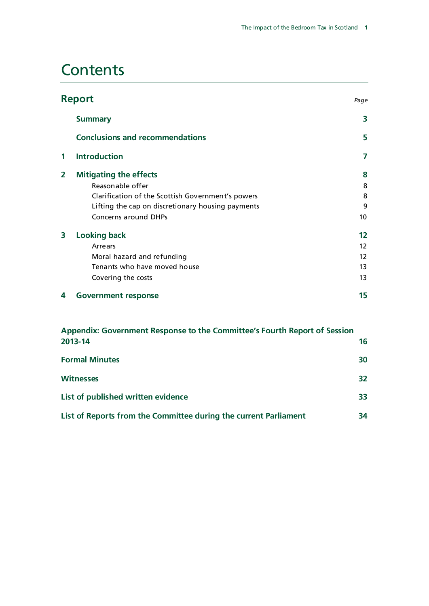## **Contents**

|                         | <b>Report</b><br>Page                                                     |                   |  |  |  |
|-------------------------|---------------------------------------------------------------------------|-------------------|--|--|--|
|                         | <b>Summary</b>                                                            | 3                 |  |  |  |
|                         | <b>Conclusions and recommendations</b>                                    | 5                 |  |  |  |
| 1                       | <b>Introduction</b>                                                       | 7                 |  |  |  |
| $\overline{\mathbf{2}}$ | <b>Mitigating the effects</b>                                             | 8                 |  |  |  |
|                         | Reasonable offer                                                          | 8                 |  |  |  |
|                         | Clarification of the Scottish Government's powers                         | 8                 |  |  |  |
|                         | Lifting the cap on discretionary housing payments                         | 9                 |  |  |  |
|                         | Concerns around DHPs                                                      | 10                |  |  |  |
| 3                       | <b>Looking back</b>                                                       | 12                |  |  |  |
|                         | Arrears                                                                   | $12 \overline{ }$ |  |  |  |
|                         | Moral hazard and refunding                                                | $12 \overline{ }$ |  |  |  |
|                         | Tenants who have moved house                                              | 13                |  |  |  |
|                         | Covering the costs                                                        | 13                |  |  |  |
| 4                       | <b>Government response</b>                                                | 15                |  |  |  |
|                         | Appendix: Government Response to the Committee's Fourth Report of Session |                   |  |  |  |
|                         | 2013-14                                                                   | 16                |  |  |  |
|                         | <b>Formal Minutes</b>                                                     |                   |  |  |  |
|                         | <b>Witnesses</b><br>32                                                    |                   |  |  |  |
|                         |                                                                           |                   |  |  |  |

**List of Reports from the Committee during the current Parliament 34**

**List of published written evidence 33**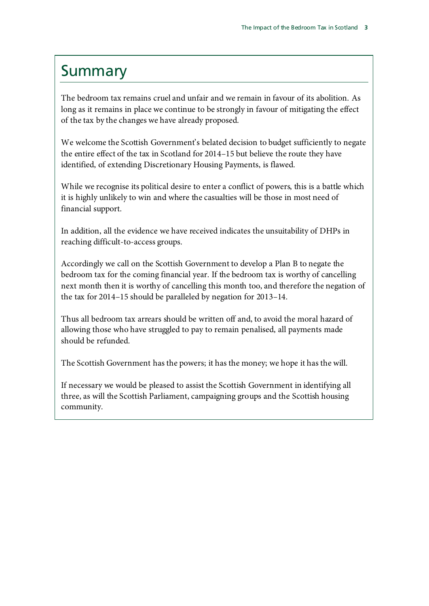## Summary

The bedroom tax remains cruel and unfair and we remain in favour of its abolition. As long as it remains in place we continue to be strongly in favour of mitigating the effect of the tax by the changes we have already proposed.

We welcome the Scottish Government's belated decision to budget sufficiently to negate the entire effect of the tax in Scotland for 2014–15 but believe the route they have identified, of extending Discretionary Housing Payments, is flawed.

While we recognise its political desire to enter a conflict of powers, this is a battle which it is highly unlikely to win and where the casualties will be those in most need of financial support.

In addition, all the evidence we have received indicates the unsuitability of DHPs in reaching difficult-to-access groups.

Accordingly we call on the Scottish Government to develop a Plan B to negate the bedroom tax for the coming financial year. If the bedroom tax is worthy of cancelling next month then it is worthy of cancelling this month too, and therefore the negation of the tax for 2014–15 should be paralleled by negation for 2013–14.

Thus all bedroom tax arrears should be written off and, to avoid the moral hazard of allowing those who have struggled to pay to remain penalised, all payments made should be refunded.

The Scottish Government has the powers; it has the money; we hope it has the will.

If necessary we would be pleased to assist the Scottish Government in identifying all three, as will the Scottish Parliament, campaigning groups and the Scottish housing community.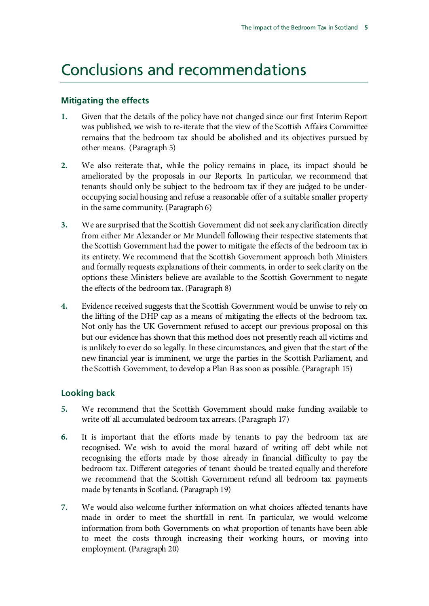## Conclusions and recommendations

#### **Mitigating the effects**

- **1.** [Given that the details of the policy have not changed since our first Interim Report](#page-9-0)  [was published, we wish to re-iterate that the view of](#page-9-0) the Scottish Affairs Committee [remains that the bedroom tax should be abolished and its objectives pursued by](#page-9-0)  [other means.](#page-9-0) (Paragrap[h 5\)](#page-9-0)
- **2.** [We also reiterate that, while the policy remains in place, its impact should be](#page-9-1)  [ameliorated by the proposals in our Reports. In particular, we recommend that](#page-9-1)  [tenants should only be subject to the bedroom tax if](#page-9-1) they are judged to be under[occupying social housing and refuse a reasonable offer of a suitable smaller property](#page-9-1)  [in the same community.](#page-9-1) (Paragrap[h 6\)](#page-9-1)
- **3.** [We are surprised that the Scottish Government did not seek any clarification directly](#page-9-2)  [from either Mr Alexander or Mr Mundell following their respective statements that](#page-9-2)  [the Scottish Government had the power to mitigate the effects of the bedroom tax in](#page-9-2)  [its entirety. We recommend that the Scottish Government approach both Ministers](#page-9-2)  [and formally requests explanations of their comments, in order to seek clarity on the](#page-9-2)  options [these Ministers believe are available to the Scottish Government to negate](#page-9-2)  [the effects of the bedroom tax.](#page-9-2) (Paragraph [8\)](#page-9-2)
- **4.** [Evidence received suggests that the Scottish Government would be unwise to rely on](#page-12-0)  [the lifting of the DHP cap as a means of mitigating the effects of the bedroom tax.](#page-12-0)  [Not only has the UK Government refused to accept our previous proposal on this](#page-12-0)  [but our evidence has shown that this method does not presently reach all victims and](#page-12-0)  [is unlikely to ever do so legally. In these circumstances, and given that the start of the](#page-12-0)  [new financial year is imminent, we urge the parties in the](#page-12-0) Scottish Parliament, and [the Scottish Government, to develop a Plan B as soon as possible.](#page-12-0) (Paragrap[h 15\)](#page-12-0)

### **Looking back**

- **5.** [We recommend that the Scottish Government should make funding available to](#page-13-0)  [write off all accumulated bedroom tax arrears.](#page-13-0)(Paragraph [17\)](#page-13-0)
- **6.** [It is important that the efforts made by tenants to pay the bedroom tax are](#page-14-0)  [recognised. We wish to avoid the moral hazard of writing off debt while not](#page-14-0)  [recognising the efforts made by those already in financial difficulty to pay the](#page-14-0)  [bedroom tax. Different categories of tenant should be treated equally and therefore](#page-14-0)  [we recommend that the Scottish Government refund all bedroom tax payments](#page-14-0)  [made by tenants in Scotland.](#page-14-0) (Paragrap[h 19\)](#page-14-0)
- **7.** [We would also welcome further information on what choices affected tenants have](#page-14-1)  [made in order to meet the shortfall in rent. In particular, we would welcome](#page-14-1)  [information from both Governments on what proportion of tenants have been able](#page-14-1)  [to meet the costs through increasing their working hours, or moving into](#page-14-1)  [employment.](#page-14-1) (Paragraph [20\)](#page-14-1)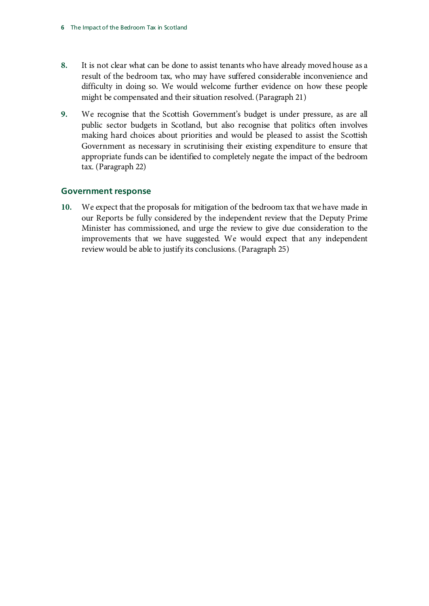- **8.** [It is not clear what can be done to assist tenants who have already moved house as a](#page-14-2)  [result of the bedroom tax, who may have suffered considerable inconvenience and](#page-14-2)  [difficulty in doing so. We would welcome further evidence on how these people](#page-14-2)  [might be compensated and their situation resolved.](#page-14-2)(Paragraph [21\)](#page-14-2)
- **9.** [We recognise that the Scottish Government's budget is under pressure, as are all](#page-14-3)  [public sector budgets in Scotland, but also recognise that politics often involves](#page-14-3)  [making hard choices about priorities and would be pleased to assist the Scottish](#page-14-3)  [Government as necessary in scrutinising their existing expenditure to ensure that](#page-14-3)  [appropriate funds can be identified to completely negate the impact of the bedroom](#page-14-3)  [tax.](#page-14-3) (Paragrap[h 22\)](#page-14-3)

### **Government response**

**10.** [We expect that the proposals for mitigation of the bedroom tax that we have made in](#page-16-0)  [our Reports be fully considered by the independent review that the Deputy Prime](#page-16-0)  [Minister has commissioned, and urge the review to give due consideration to the](#page-16-0)  [improvements that we have suggested. We would expect that any independent](#page-16-0)  [review would be able to justify its conclusions.](#page-16-0)(Paragraph [25\)](#page-16-0)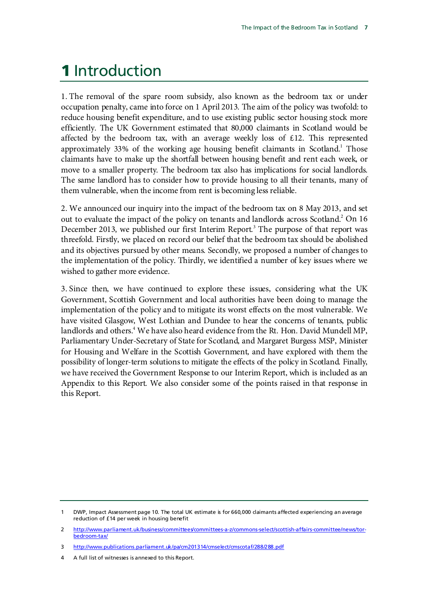## 1 Introduction

1. The removal of the spare room subsidy, also known as the bedroom tax or under occupation penalty, came into force on 1 April 2013. The aim of the policy was twofold: to reduce housing benefit expenditure, and to use existing public sector housing stock more efficiently. The UK Government estimated that 80,000 claimants in Scotland would be affected by the bedroom tax, with an average weekly loss of £12. This represented approximately 33% of the working age housing benefit claimants in Scotland.<sup>1</sup> Those claimants have to make up the shortfall between housing benefit and rent each week, or move to a smaller property. The bedroom tax also has implications for social landlords. The same landlord has to consider how to provide housing to all their tenants, many of them vulnerable, when the income from rent is becoming less reliable.

2. We announced our inquiry into the impact of the bedroom tax on 8 May 2013, and set out to evaluate the impact of the policy on tenants and landlords across Scotland.<sup>2</sup> On 16 December 201[3](#page-8-2), we published our first Interim Report.<sup>3</sup> The purpose of that report was threefold. Firstly, we placed on record our belief that the bedroom tax should be abolished and its objectives pursued by other means. Secondly, we proposed a number of changes to the implementation of the policy. Thirdly, we identified a number of key issues where we wished to gather more evidence.

3. Since then, we have continued to explore these issues, considering what the UK Government, Scottish Government and local authorities have been doing to manage the implementation of the policy and to mitigate its worst effects on the most vulnerable. We have visited Glasgow, West Lothian and Dundee to hear the concerns of tenants, public landlords and others.<sup>4</sup> We have also heard evidence from the Rt. Hon. David Mundell MP, Parliamentary Under-Secretary of State for Scotland, and Margaret Burgess MSP, Minister for Housing and Welfare in the Scottish Government, and have explored with them the possibility of longer-term solutions to mitigate the effects of the policy in Scotland. Finally, we have received the Government Response to our Interim Report, which is included as an Appendix to this Report. We also consider some of the points raised in that response in this Report.

<span id="page-8-0"></span>DWP, Impact Assessment page 10. The total UK estimate is for 660,000 claimants affected experiencing an average reduction of £14 per week in housing benefit

<span id="page-8-1"></span><sup>2</sup> [http://www.parliament.uk/business/committees/committees-a-z/commons-select/scottish-affairs-committee/news/tor](http://www.parliament.uk/business/committees/committees-a-z/commons-select/scottish-affairs-committee/news/tor-bedroom-tax/)[bedroom-tax/](http://www.parliament.uk/business/committees/committees-a-z/commons-select/scottish-affairs-committee/news/tor-bedroom-tax/)

<span id="page-8-2"></span><sup>3</sup> <http://www.publications.parliament.uk/pa/cm201314/cmselect/cmscotaf/288/288.pdf>

<span id="page-8-3"></span><sup>4</sup> A full list of witnesses is annexed to this Report.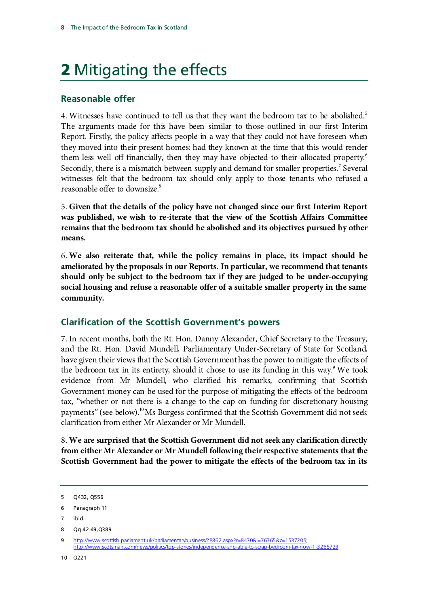# 2 Mitigating the effects

### **Reasonable offer**

4. Witnesses have continued to tell us that they want the bedroom tax to be abolished.<sup>[5](#page-9-3)</sup> The arguments made for this have been similar to those outlined in our first Interim Report. Firstly, the policy affects people in a way that they could not have foreseen when they moved into their present homes: had they known at the time that this would render them less well off financially, then they may have objected to their allocated property.<sup>[6](#page-9-4)</sup> Secondly, there is a mismatch between supply and demand for smaller properties.<sup>[7](#page-9-5)</sup> Several witnesses felt that the bedroom tax should only apply to those tenants who refused a reasonable offer to downsize.<sup>8</sup>

<span id="page-9-0"></span>5. **Given that the details of the policy have not changed since our first Interim Report was published, we wish to re-iterate that the view of the Scottish Affairs Committee remains that the bedroom tax should be abolished and its objectives pursued by other means.** 

<span id="page-9-1"></span>6. **We also reiterate that, while the policy remains in place, its impact should be ameliorated by the proposals in our Reports. In particular, we recommend that tenants should only be subject to the bedroom tax if they are judged to be under-occupying social housing and refuse a reasonable offer of a suitable smaller property in the same community.**

## **Clarification of the Scottish Government's powers**

7. In recent months, both the Rt. Hon. Danny Alexander, Chief Secretary to the Treasury, and the Rt. Hon. David Mundell, Parliamentary Under-Secretary of State for Scotland, have given their views that the Scottish Government has the power to mitigate the effects of the bedroom tax in its entirety, should it chose to use its funding in this way.<sup>9</sup> We took evidence from Mr Mundell, who clarified his remarks, confirming that Scottish Government money can be used for the purpose of mitigating the effects of the bedroom tax, "whether or not there is a change to the cap on funding for discretionary housing payments" (see below).<sup>[10](#page-9-8)</sup>Ms Burgess confirmed that the Scottish Government did not seek clarification from either Mr Alexander or Mr Mundell.

<span id="page-9-2"></span>8. **We are surprised that the Scottish Government did not seek any clarification directly from either Mr Alexander or Mr Mundell following their respective statements that the Scottish Government had the power to mitigate the effects of the bedroom tax in its** 

<span id="page-9-5"></span>7 ibid.

<span id="page-9-3"></span><sup>5</sup> Q432, Q556

<span id="page-9-4"></span><sup>6</sup> Paragraph 11

<span id="page-9-6"></span><sup>8</sup> Qq 42-49,Q389

<span id="page-9-8"></span><span id="page-9-7"></span><sup>9</sup> [http://www.scottish.parliament.uk/parliamentarybusiness/28862.aspx?r=8470&i=76765&c=1537205;](http://www.scottish.parliament.uk/parliamentarybusiness/28862.aspx?r=8470&i=76765&c=1537205) <http://www.scotsman.com/news/politics/top-stories/independence-snp-able-to-scrap-bedroom-tax-now-1-3265723>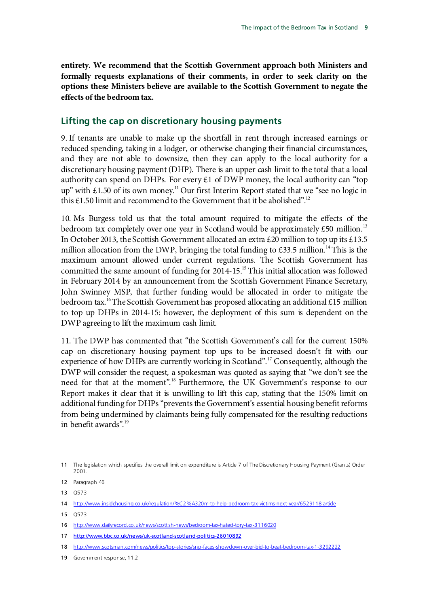**entirety. We recommend that the Scottish Government approach both Ministers and formally requests explanations of their comments, in order to seek clarity on the options these Ministers believe are available to the Scottish Government to negate the effects of the bedroom tax.**

### **Lifting the cap on discretionary housing payments**

9. If tenants are unable to make up the shortfall in rent through increased earnings or reduced spending, taking in a lodger, or otherwise changing their financial circumstances, and they are not able to downsize, then they can apply to the local authority for a discretionary housing payment (DHP). There is an upper cash limit to the total that a local authority can spend on DHPs. For every  $\pounds 1$  of DWP money, the local authority can "top up" with  $\text{\pounds}1.50$  of its own money.<sup>11</sup> Our first Interim Report stated that we "see no logic in this £1.50 limit and recommend to the Government that it be abolished".<sup>12</sup>

10. Ms Burgess told us that the total amount required to mitigate the effects of the bedroom tax completely over one year in Scotland would be approximately  $\text{\pounds}50$  million.<sup>[13](#page-10-2)</sup> In October 2013, the Scottish Government allocated an extra £20 million to top up its £13.5 million allocation from the DWP, bringing the total funding to £33.5 million.<sup>[14](#page-10-3)</sup> This is the maximum amount allowed under current regulations. The Scottish Government has committed the same amount of funding for 2014-15.<sup>15</sup> This initial allocation was followed in February 2014 by an announcement from the Scottish Government Finance Secretary, John Swinney MSP, that further funding would be allocated in order to mitigate the bedroom tax.<sup>[16](#page-10-5)</sup>The Scottish Government has proposed allocating an additional £15 million to top up DHPs in 2014-15: however, the deployment of this sum is dependent on the DWP agreeing to lift the maximum cash limit.

11. The DWP has commented that "the Scottish Government's call for the current 150% cap on discretionary housing payment top ups to be increased doesn't fit with our experience of how DHPs are currently working in Scotland".<sup>[17](#page-10-6)</sup> Consequently, although the DWP will consider the request, a spokesman was quoted as saying that "we don't see the need for that at the moment".[18](#page-10-7) Furthermore, the UK Government's response to our Report makes it clear that it is unwilling to lift this cap, stating that the 150% limit on additional funding for DHPs "prevents the Government's essential housing benefit reforms from being undermined by claimants being fully compensated for the resulting reductions in benefit awards".[19](#page-10-8)

<span id="page-10-0"></span><sup>11</sup> The legislation which specifies the overall limit on expenditure is Article 7 of The Discretionary Housing Payment (Grants) Order 2001.

<span id="page-10-1"></span><sup>12</sup> Paragraph 46

<span id="page-10-2"></span><sup>13</sup> Q573

<span id="page-10-3"></span><sup>14</sup> <http://www.insidehousing.co.uk/regulation/%C2%A320m-to-help-bedroom-tax-victims-next-year/6529118.article>

<span id="page-10-4"></span><sup>15</sup> Q573

<span id="page-10-5"></span><sup>16</sup> <http://www.dailyrecord.co.uk/news/scottish-news/bedroom-tax-hated-tory-tax-3116020>

<span id="page-10-6"></span><sup>17</sup> <http://www.bbc.co.uk/news/uk-scotland-scotland-politics-26010892>

<span id="page-10-7"></span><sup>18</sup> <http://www.scotsman.com/news/politics/top-stories/snp-faces-showdown-over-bid-to-beat-bedroom-tax-1-3292222>

<span id="page-10-8"></span><sup>19</sup> Government response, 11.2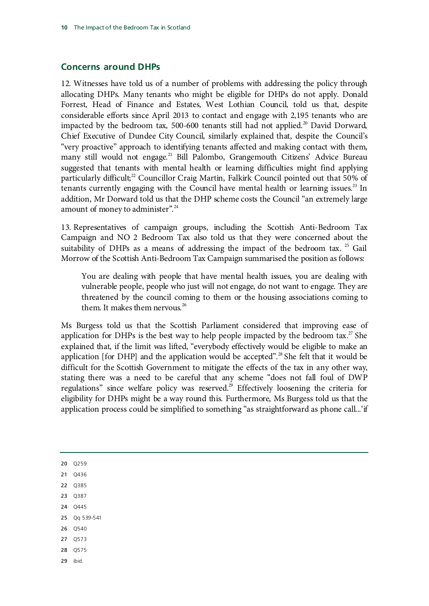#### **Concerns around DHPs**

12. Witnesses have told us of a number of problems with addressing the policy through allocating DHPs. Many tenants who might be eligible for DHPs do not apply. Donald Forrest, Head of Finance and Estates, West Lothian Council, told us that, despite considerable efforts since April 2013 to contact and engage with 2,195 tenants who are impacted by the bedroom tax, 500-600 tenants still had not applied.<sup>[20](#page-11-0)</sup> David Dorward, Chief Executive of Dundee City Council, similarly explained that, despite the Council's "very proactive" approach to identifying tenants affected and making contact with them, many still would not engage.<sup>[21](#page-11-1)</sup> Bill Palombo, Grangemouth Citizens' Advice Bureau suggested that tenants with mental health or learning difficulties might find applying particularly difficult;<sup>[22](#page-11-2)</sup> Councillor Craig Martin, Falkirk Council pointed out that 50% of tenants currently engaging with the Council have mental health or learning issues.<sup>[23](#page-11-3)</sup> In addition, Mr Dorward told us that the DHP scheme costs the Council "an extremely large amount of money to administer".<sup>[24](#page-11-4)</sup>

13. Representatives of campaign groups, including the Scottish Anti-Bedroom Tax Campaign and NO 2 Bedroom Tax also told us that they were concerned about the suitability of DHPs as a means of addressing the impact of the bedroom tax.  $25$  Gail Morrow of the Scottish Anti-Bedroom Tax Campaign summarised the position as follows:

You are dealing with people that have mental health issues, you are dealing with vulnerable people, people who just will not engage, do not want to engage. They are threatened by the council coming to them or the housing associations coming to them. It makes them nervous.<sup>[26](#page-11-6)</sup>

Ms Burgess told us that the Scottish Parliament considered that improving ease of application for DHPs is the best way to help people impacted by the bedroom tax.<sup>27</sup> She explained that, if the limit was lifted, "everybody effectively would be eligible to make an application [for DHP] and the application would be accepted".<sup>[28](#page-11-8)</sup> She felt that it would be difficult for the Scottish Government to mitigate the effects of the tax in any other way, stating there was a need to be careful that any scheme "does not fall foul of DWP regulations" since welfare policy was reserved. [29](#page-11-9) Effectively loosening the criteria for eligibility for DHPs might be a way round this. Furthermore, Ms Burgess told us that the application process could be simplified to something "as straightforward as phone call...'if

<span id="page-11-9"></span><span id="page-11-8"></span><span id="page-11-7"></span><span id="page-11-6"></span><span id="page-11-5"></span><span id="page-11-4"></span><span id="page-11-3"></span><span id="page-11-2"></span><span id="page-11-1"></span><span id="page-11-0"></span>20 Q259 21 Q436 22 Q385 23 Q387 24 Q445 25 Qq 539-541 26 Q540 27 Q573 28 Q575 29 ibid.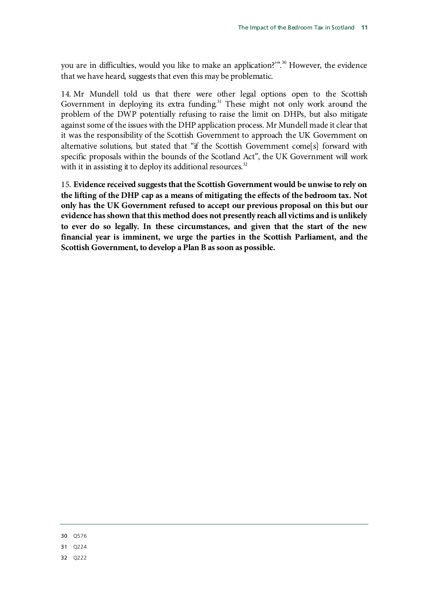you are in difficulties, would you like to make an application?'". [30](#page-12-1) However, the evidence that we have heard, suggests that even this may be problematic.

14. Mr Mundell told us that there were other legal options open to the Scottish Government in deploying its extra funding.<sup>[31](#page-12-2)</sup> These might not only work around the problem of the DWP potentially refusing to raise the limit on DHPs, but also mitigate against some of the issues with the DHP application process. Mr Mundell made it clear that it was the responsibility of the Scottish Government to approach the UK Government on alternative solutions, but stated that "if the Scottish Government come[s] forward with specific proposals within the bounds of the Scotland Act", the UK Government will work with it in assisting it to deploy its additional resources. $32$ 

<span id="page-12-0"></span>15. **Evidence received suggests that the Scottish Government would be unwise to rely on the lifting of the DHP cap as a means of mitigating the effects of the bedroom tax. Not only has the UK Government refused to accept our previous proposal on this but our evidence has shown that this method does not presently reach all victims and is unlikely to ever do so legally. In these circumstances, and given that the start of the new financial year is imminent, we urge the parties in the Scottish Parliament, and the Scottish Government, to develop a Plan B as soon as possible.**

<span id="page-12-1"></span>30 Q576

<span id="page-12-2"></span>31 Q224

<span id="page-12-3"></span>32 Q222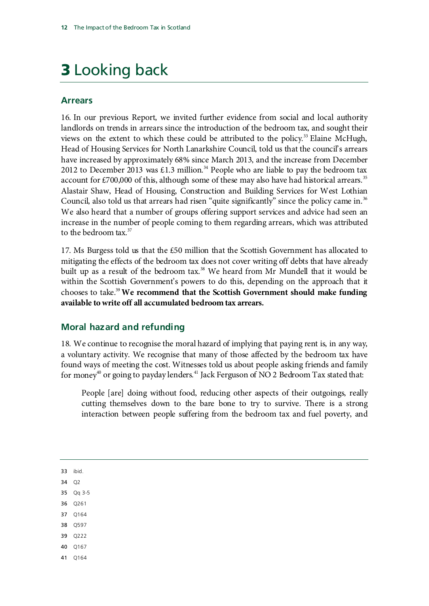# 3 Looking back

### **Arrears**

16. In our previous Report, we invited further evidence from social and local authority landlords on trends in arrears since the introduction of the bedroom tax, and sought their views on the extent to which these could be attributed to the policy.<sup>[33](#page-13-1)</sup> Elaine McHugh, Head of Housing Services for North Lanarkshire Council, told us that the council's arrears have increased by approximately 68% since March 2013, and the increase from December 2012 to December 2013 was £1.3 million.<sup>[34](#page-13-2)</sup> People who are liable to pay the bedroom tax account for  $\text{\pounds}700,000$  of this, although some of these may also have had historical arrears.<sup>[35](#page-13-3)</sup> Alastair Shaw, Head of Housing, Construction and Building Services for West Lothian Council, also told us that arrears had risen "quite significantly" since the policy came in.<sup>[36](#page-13-4)</sup> We also heard that a number of groups offering support services and advice had seen an increase in the number of people coming to them regarding arrears, which was attributed to the bedroom tax.<sup>[37](#page-13-5)</sup>

17. Ms Burgess told us that the £50 million that the Scottish Government has allocated to mitigating the effects of the bedroom tax does not cover writing off debts that have already built up as a result of the bedroom tax.<sup>[38](#page-13-6)</sup> We heard from Mr Mundell that it would be within the Scottish Government's powers to do this, depending on the approach that it chooses to take[.39](#page-13-7) **We recommend that the Scottish Government should make funding available to write off all accumulated bedroom tax arrears.**

## <span id="page-13-0"></span>**Moral hazard and refunding**

18. We continue to recognise the moral hazard of implying that paying rent is, in any way, a voluntary activity. We recognise that many of those affected by the bedroom tax have found ways of meeting the cost. Witnesses told us about people asking friends and family for money<sup>40</sup> or going to payday lenders.<sup>[41](#page-13-9)</sup> Jack Ferguson of NO 2 Bedroom Tax stated that:

People [are] doing without food, reducing other aspects of their outgoings, really cutting themselves down to the bare bone to try to survive. There is a strong interaction between people suffering from the bedroom tax and fuel poverty, and

<span id="page-13-1"></span>33 ibid.

<span id="page-13-2"></span>34 Q2

<span id="page-13-3"></span>35 Qq 3-5

- <span id="page-13-4"></span>36 Q261
- <span id="page-13-5"></span>37 Q164
- <span id="page-13-6"></span>38 Q597
- <span id="page-13-7"></span>39 Q222
- <span id="page-13-8"></span>40 Q167
- <span id="page-13-9"></span>41 Q164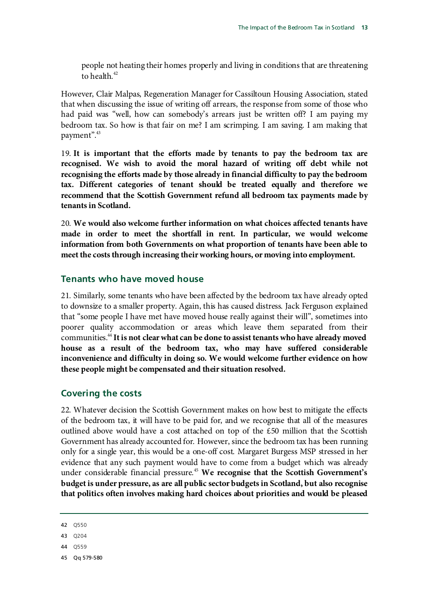people not heating their homes properly and living in conditions that are threatening to health. [42](#page-14-4)

However, Clair Malpas, Regeneration Manager for Cassiltoun Housing Association, stated that when discussing the issue of writing off arrears, the response from some of those who had paid was "well, how can somebody's arrears just be written off? I am paying my bedroom tax. So how is that fair on me? I am scrimping. I am saving. I am making that payment".<sup>[43](#page-14-5)</sup>

<span id="page-14-0"></span>19. **It is important that the efforts made by tenants to pay the bedroom tax are recognised. We wish to avoid the moral hazard of writing off debt while not recognising the efforts made by those already in financial difficulty to pay the bedroom tax. Different categories of tenant should be treated equally and therefore we recommend that the Scottish Government refund all bedroom tax payments made by tenants in Scotland.**

<span id="page-14-1"></span>20. **We would also welcome further information on what choices affected tenants have made in order to meet the shortfall in rent. In particular, we would welcome information from both Governments on what proportion of tenants have been able to meet the costs through increasing their working hours, or moving into employment.**

### **Tenants who have moved house**

<span id="page-14-2"></span>21. Similarly, some tenants who have been affected by the bedroom tax have already opted to downsize to a smaller property. Again, this has caused distress. Jack Ferguson explained that "some people I have met have moved house really against their will", sometimes into poorer quality accommodation or areas which leave them separated from their communities. [44](#page-14-6) **It is not clear what can be done to assist tenants who have already moved house as a result of the bedroom tax, who may have suffered considerable inconvenience and difficulty in doing so. We would welcome further evidence on how these people might be compensated and their situation resolved.**

### **Covering the costs**

22. Whatever decision the Scottish Government makes on how best to mitigate the effects of the bedroom tax, it will have to be paid for, and we recognise that all of the measures outlined above would have a cost attached on top of the £50 million that the Scottish Government has already accounted for. However, since the bedroom tax has been running only for a single year, this would be a one-off cost. Margaret Burgess MSP stressed in her evidence that any such payment would have to come from a budget which was already under considerable financial pressure.<sup>[45](#page-14-7)</sup> We recognise that the Scottish Government's **budget is under pressure, as are all public sector budgets in Scotland, but also recognise that politics often involves making hard choices about priorities and would be pleased** 

- <span id="page-14-6"></span>44 Q559
- <span id="page-14-7"></span>45 Qq 579-580

<span id="page-14-4"></span><span id="page-14-3"></span><sup>42</sup> Q550

<span id="page-14-5"></span><sup>43</sup> Q204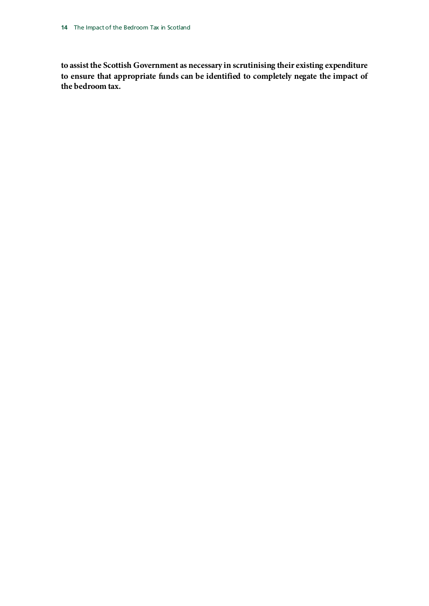**to assist the Scottish Government as necessary in scrutinising their existing expenditure to ensure that appropriate funds can be identified to completely negate the impact of the bedroom tax.**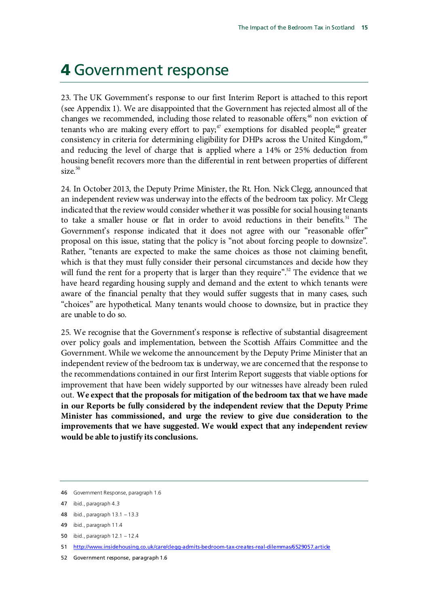## 4 Government response

23. The UK Government's response to our first Interim Report is attached to this report (see Appendix 1). We are disappointed that the Government has rejected almost all of the changes we recommended, including those related to reasonable offers;<sup>[46](#page-16-1)</sup> non eviction of tenants who are making every effort to pay;<sup>[47](#page-16-2)</sup> exemptions for disabled people;<sup>[48](#page-16-3)</sup> greater consistency in criteria for determining eligibility for DHPs across the United Kingdom,<sup>[49](#page-16-4)</sup> and reducing the level of charge that is applied where a 14% or 25% deduction from housing benefit recovers more than the differential in rent between properties of different  $size<sup>50</sup>$  $size<sup>50</sup>$  $size<sup>50</sup>$ 

24. In October 2013, the Deputy Prime Minister, the Rt. Hon. Nick Clegg, announced that an independent review was underway into the effects of the bedroom tax policy. Mr Clegg indicated that the review would consider whether it was possible for social housing tenants to take a smaller house or flat in order to avoid reductions in their benefits.<sup>[51](#page-16-6)</sup> The Government's response indicated that it does not agree with our "reasonable offer" proposal on this issue, stating that the policy is "not about forcing people to downsize". Rather, "tenants are expected to make the same choices as those not claiming benefit, which is that they must fully consider their personal circumstances and decide how they will fund the rent for a property that is larger than they require".<sup>[52](#page-16-7)</sup> The evidence that we have heard regarding housing supply and demand and the extent to which tenants were aware of the financial penalty that they would suffer suggests that in many cases, such "choices" are hypothetical. Many tenants would choose to downsize, but in practice they are unable to do so.

<span id="page-16-0"></span>25. We recognise that the Government's response is reflective of substantial disagreement over policy goals and implementation, between the Scottish Affairs Committee and the Government. While we welcome the announcement by the Deputy Prime Minister that an independent review of the bedroom tax is underway, we are concerned that the response to the recommendations contained in our first Interim Report suggests that viable options for improvement that have been widely supported by our witnesses have already been ruled out. **We expect that the proposals for mitigation of the bedroom tax that we have made in our Reports be fully considered by the independent review that the Deputy Prime Minister has commissioned, and urge the review to give due consideration to the improvements that we have suggested. We would expect that any independent review would be able to justify its conclusions.**

<span id="page-16-1"></span><sup>46</sup> Government Response, paragraph 1.6

<span id="page-16-2"></span><sup>47</sup> ibid., paragraph 4.3

<span id="page-16-3"></span><sup>48</sup> ibid., paragraph 13.1 – 13.3

<span id="page-16-4"></span><sup>49</sup> ibid., paragraph 11.4

<span id="page-16-5"></span><sup>50</sup> ibid., paragraph 12.1 – 12.4

<span id="page-16-6"></span><sup>51</sup> <http://www.insidehousing.co.uk/care/clegg-admits-bedroom-tax-creates-real-dilemmas/6529057.article>

<span id="page-16-7"></span><sup>52</sup> Government response, paragraph 1.6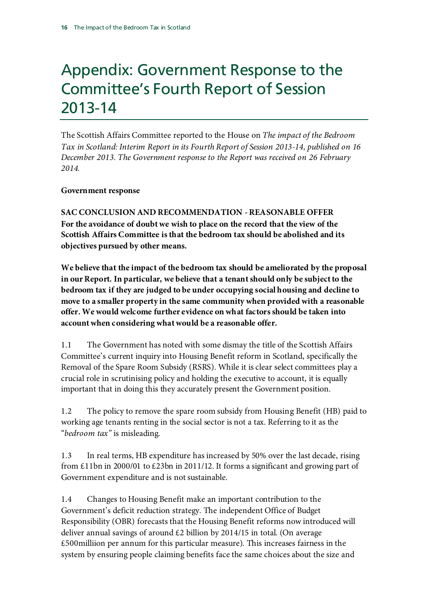## Appendix: Government Response to the Committee's Fourth Report of Session 2013-14

The Scottish Affairs Committee reported to the House on *The impact of the Bedroom Tax in Scotland: Interim Report in its Fourth Report of Session 2013-14, published on 16 December 2013. The Government response to the Report was received on 26 February 2014.*

### **Government response**

**SAC CONCLUSION AND RECOMMENDATION -REASONABLE OFFER For the avoidance of doubt we wish to place on the record that the view of the Scottish Affairs Committee is that the bedroom tax should be abolished and its objectives pursued by other means.**

**We believe that the impact of the bedroom tax should be ameliorated by the proposal in our Report. In particular, we believe that a tenant should only be subject to the bedroom tax if they are judged to be under occupying social housing and decline to move to a smaller property in the same community when provided with a reasonable offer. We would welcome further evidence on what factors should be taken into account when considering what would be a reasonable offer.**

1.1 The Government has noted with some dismay the title of the Scottish Affairs Committee's current inquiry into Housing Benefit reform in Scotland, specifically the Removal of the Spare Room Subsidy (RSRS). While it is clear select committees play a crucial role in scrutinising policy and holding the executive to account, it is equally important that in doing this they accurately present the Government position.

1.2 The policy to remove the spare room subsidy from Housing Benefit (HB) paid to working age tenants renting in the social sector is not a tax. Referring to it as the "*bedroom tax"* is misleading.

1.3 In real terms, HB expenditure has increased by 50% over the last decade, rising from £11bn in 2000/01 to £23bn in 2011/12. It forms a significant and growing part of Government expenditure and is not sustainable.

1.4 Changes to Housing Benefit make an important contribution to the Government's deficit reduction strategy. The independent Office of Budget Responsibility (OBR) forecasts that the Housing Benefit reforms now introduced will deliver annual savings of around  $\&$ 2 billion by 2014/15 in total. (On average £500milliion per annum for this particular measure). This increases fairness in the system by ensuring people claiming benefits face the same choices about the size and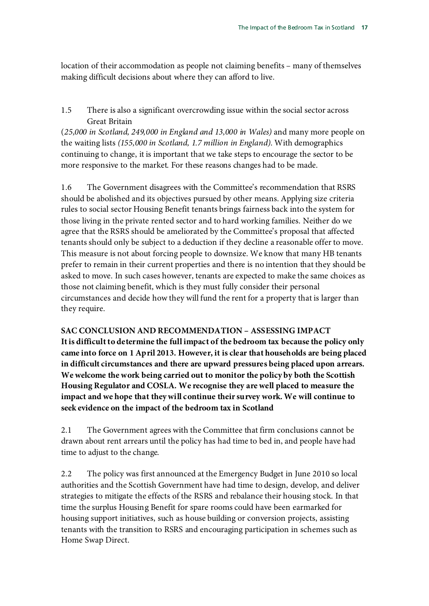location of their accommodation as people not claiming benefits – many of themselves making difficult decisions about where they can afford to live.

1.5 There is also a significant overcrowding issue within the social sector across Great Britain

(*25,000 in Scotland, 249,000 in England and 13,000 in Wales)* and many more people on the waiting lists *(155,000 in Scotland, 1.7 million in England)*. With demographics continuing to change, it is important that we take steps to encourage the sector to be more responsive to the market. For these reasons changes had to be made.

1.6 The Government disagrees with the Committee's recommendation that RSRS should be abolished and its objectives pursued by other means. Applying size criteria rules to social sector Housing Benefit tenants brings fairness back into the system for those living in the private rented sector and to hard working families. Neither do we agree that the RSRS should be ameliorated by the Committee's proposal that affected tenants should only be subject to a deduction if they decline a reasonable offer to move. This measure is not about forcing people to downsize. We know that many HB tenants prefer to remain in their current properties and there is no intention that they should be asked to move. In such cases however, tenants are expected to make the same choices as those not claiming benefit, which is they must fully consider their personal circumstances and decide how they will fund the rent for a property that is larger than they require.

#### **SAC CONCLUSION AND RECOMMENDATION – ASSESSING IMPACT**

**It is difficult to determine the full impact of the bedroom tax because the policy only came into force on 1 April 2013. However, it is clear that households are being placed in difficult circumstances and there are upward pressures being placed upon arrears. We welcome the work being carried out to monitor the policy by both the Scottish Housing Regulator and COSLA. We recognise they are well placed to measure the impact and we hope that they will continue their survey work. We will continue to seek evidence on the impact of the bedroom tax in Scotland**

2.1 The Government agrees with the Committee that firm conclusions cannot be drawn about rent arrears until the policy has had time to bed in, and people have had time to adjust to the change.

2.2 The policy was first announced at the Emergency Budget in June 2010 so local authorities and the Scottish Government have had time to design, develop, and deliver strategies to mitigate the effects of the RSRS and rebalance their housing stock. In that time the surplus Housing Benefit for spare rooms could have been earmarked for housing support initiatives, such as house building or conversion projects, assisting tenants with the transition to RSRS and encouraging participation in schemes such as Home Swap Direct.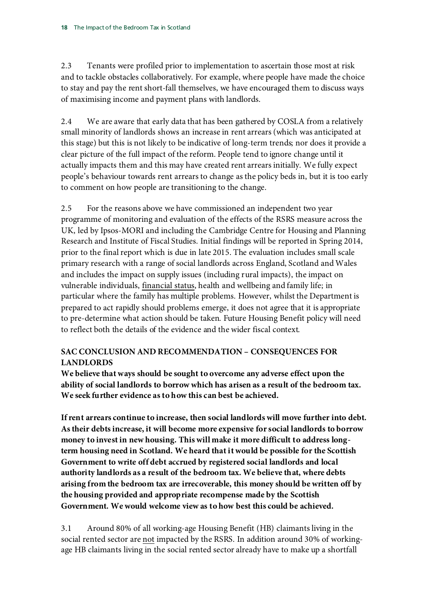2.3 Tenants were profiled prior to implementation to ascertain those most at risk and to tackle obstacles collaboratively. For example, where people have made the choice to stay and pay the rent short-fall themselves, we have encouraged them to discuss ways of maximising income and payment plans with landlords.

2.4 We are aware that early data that has been gathered by COSLA from a relatively small minority of landlords shows an increase in rent arrears (which was anticipated at this stage) but this is not likely to be indicative of long-term trends; nor does it provide a clear picture of the full impact of the reform. People tend to ignore change until it actually impacts them and this may have created rent arrears initially. We fully expect people's behaviour towards rent arrears to change as the policy beds in, but it is too early to comment on how people are transitioning to the change.

2.5 For the reasons above we have commissioned an independent two year programme of monitoring and evaluation of the effects of the RSRS measure across the UK, led by Ipsos-MORI and including the Cambridge Centre for Housing and Planning Research and Institute of Fiscal Studies. Initial findings will be reported in Spring 2014, prior to the final report which is due in late 2015. The evaluation includes small scale primary research with a range of social landlords across England, Scotland and Wales and includes the impact on supply issues (including rural impacts), the impact on vulnerable individuals, financial status, health and wellbeing and family life; in particular where the family has multiple problems. However, whilst the Department is prepared to act rapidly should problems emerge, it does not agree that it is appropriate to pre-determine what action should be taken. Future Housing Benefit policy will need to reflect both the details of the evidence and the wider fiscal context.

## **SAC CONCLUSION AND RECOMMENDATION – CONSEQUENCES FOR LANDLORDS**

**We believe that ways should be sought to overcome any adverse effect upon the ability of social landlords to borrow which has arisen as a result of the bedroom tax. We seek further evidence as to how this can best be achieved.**

**If rent arrears continue to increase, then social landlords will move further into debt. As their debts increase, it will become more expensive for social landlords to borrow money to invest in new housing. This will make it more difficult to address longterm housing need in Scotland. We heard that it would be possible for the Scottish Government to write off debt accrued by registered social landlords and local authority landlords as a result of the bedroom tax. We believe that, where debts arising from the bedroom tax are irrecoverable, this money should be written off by the housing provided and appropriate recompense made by the Scottish Government. We would welcome view as to how best this could be achieved.**

3.1 Around 80% of all working-age Housing Benefit (HB) claimants living in the social rented sector are not impacted by the RSRS. In addition around 30% of workingage HB claimants living in the social rented sector already have to make up a shortfall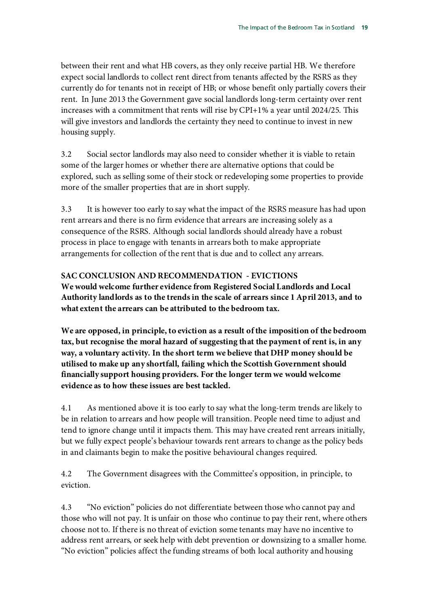between their rent and what HB covers, as they only receive partial HB. We therefore expect social landlords to collect rent direct from tenants affected by the RSRS as they currently do for tenants not in receipt of HB; or whose benefit only partially covers their rent. In June 2013 the Government gave social landlords long-term certainty over rent increases with a commitment that rents will rise by CPI+1% a year until 2024/25. This will give investors and landlords the certainty they need to continue to invest in new housing supply.

3.2 Social sector landlords may also need to consider whether it is viable to retain some of the larger homes or whether there are alternative options that could be explored, such as selling some of their stock or redeveloping some properties to provide more of the smaller properties that are in short supply.

3.3 It is however too early to say what the impact of the RSRS measure has had upon rent arrears and there is no firm evidence that arrears are increasing solely as a consequence of the RSRS. Although social landlords should already have a robust process in place to engage with tenants in arrears both to make appropriate arrangements for collection of the rent that is due and to collect any arrears.

**SAC CONCLUSION AND RECOMMENDATION - EVICTIONS We would welcome further evidence from Registered Social Landlords and Local Authority landlords as to the trends in the scale of arrears since 1 April 2013, and to what extent the arrears can be attributed to the bedroom tax.**

**We are opposed, in principle, to eviction as a result of the imposition of the bedroom tax, but recognise the moral hazard of suggesting that the payment of rent is, in any way, a voluntary activity. In the short term we believe that DHP money should be utilised to make up any shortfall, failing which the Scottish Government should financially support housing providers. For the longer term we would welcome evidence as to how these issues are best tackled.**

4.1 As mentioned above it is too early to say what the long-term trends are likely to be in relation to arrears and how people will transition. People need time to adjust and tend to ignore change until it impacts them. This may have created rent arrears initially, but we fully expect people's behaviour towards rent arrears to change as the policy beds in and claimants begin to make the positive behavioural changes required.

4.2 The Government disagrees with the Committee's opposition, in principle, to eviction.

4.3 "No eviction" policies do not differentiate between those who cannot pay and those who will not pay. It is unfair on those who continue to pay their rent, where others choose not to. If there is no threat of eviction some tenants may have no incentive to address rent arrears, or seek help with debt prevention or downsizing to a smaller home. "No eviction" policies affect the funding streams of both local authority and housing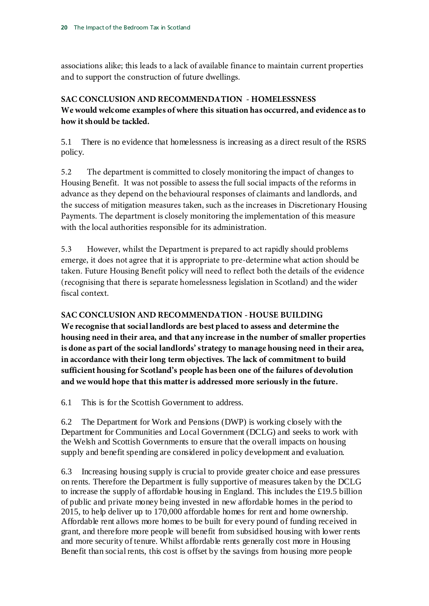associations alike; this leads to a lack of available finance to maintain current properties and to support the construction of future dwellings.

## **SAC CONCLUSION AND RECOMMENDATION - HOMELESSNESS We would welcome examples of where this situation has occurred, and evidence as to how it should be tackled.**

5.1 There is no evidence that homelessness is increasing as a direct result of the RSRS policy.

5.2 The department is committed to closely monitoring the impact of changes to Housing Benefit. It was not possible to assess the full social impacts of the reforms in advance as they depend on the behavioural responses of claimants and landlords, and the success of mitigation measures taken, such as the increases in Discretionary Housing Payments. The department is closely monitoring the implementation of this measure with the local authorities responsible for its administration.

5.3 However, whilst the Department is prepared to act rapidly should problems emerge, it does not agree that it is appropriate to pre-determine what action should be taken. Future Housing Benefit policy will need to reflect both the details of the evidence (recognising that there is separate homelessness legislation in Scotland) and the wider fiscal context.

## **SAC CONCLUSION AND RECOMMENDATION - HOUSE BUILDING**

**We recognise that social landlords are best placed to assess and determine the housing need in their area, and that any increase in the number of smaller properties is done as part of the social landlords' strategy to manage housing need in their area, in accordance with their long term objectives. The lack of commitment to build sufficient housing for Scotland's people has been one of the failures of devolution and we would hope that this matter is addressed more seriously in the future.**

6.1 This is for the Scottish Government to address.

6.2 The Department for Work and Pensions (DWP) is working closely with the Department for Communities and Local Government (DCLG) and seeks to work with the Welsh and Scottish Governments to ensure that the overall impacts on housing supply and benefit spending are considered in policy development and evaluation.

6.3 Increasing housing supply is crucial to provide greater choice and ease pressures on rents. Therefore the Department is fully supportive of measures taken by the DCLG to increase the supply of affordable housing in England. This includes the £19.5 billion of public and private money being invested in new affordable homes in the period to 2015, to help deliver up to 170,000 affordable homes for rent and home ownership. Affordable rent allows more homes to be built for every pound of funding received in grant, and therefore more people will benefit from subsidised housing with lower rents and more security of tenure. Whilst affordable rents generally cost more in Housing Benefit than social rents, this cost is offset by the savings from housing more people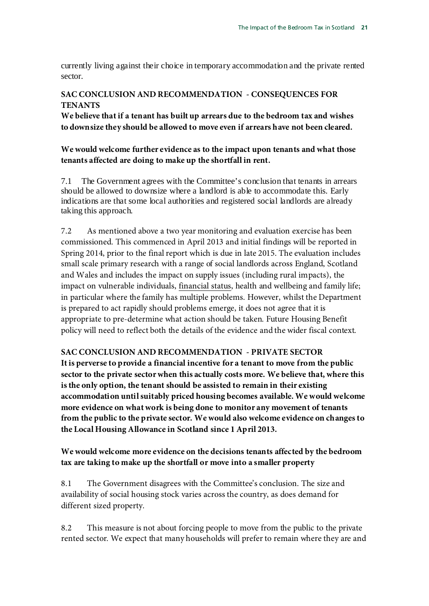currently living against their choice in temporary accommodation and the private rented sector.

### **SAC CONCLUSION AND RECOMMENDATION - CONSEQUENCES FOR TENANTS**

**We believe that if a tenant has built up arrears due to the bedroom tax and wishes to downsize they should be allowed to move even if arrears have not been cleared.**

### **We would welcome further evidence as to the impact upon tenants and what those tenants affected are doing to make up the shortfall in rent.**

7.1 The Government agrees with the Committee's conclusion that tenants in arrears should be allowed to downsize where a landlord is able to accommodate this. Early indications are that some local authorities and registered social landlords are already taking this approach.

7.2 As mentioned above a two year monitoring and evaluation exercise has been commissioned. This commenced in April 2013 and initial findings will be reported in Spring 2014, prior to the final report which is due in late 2015. The evaluation includes small scale primary research with a range of social landlords across England, Scotland and Wales and includes the impact on supply issues (including rural impacts), the impact on vulnerable individuals, financial status, health and wellbeing and family life; in particular where the family has multiple problems. However, whilst the Department is prepared to act rapidly should problems emerge, it does not agree that it is appropriate to pre-determine what action should be taken. Future Housing Benefit policy will need to reflect both the details of the evidence and the wider fiscal context.

## **SAC CONCLUSION AND RECOMMENDATION - PRIVATE SECTOR**

**It is perverse to provide a financial incentive for a tenant to move from the public sector to the private sector when this actually costs more. We believe that, where this is the only option, the tenant should be assisted to remain in their existing accommodation until suitably priced housing becomes available. We would welcome more evidence on what work is being done to monitor any movement of tenants from the public to the private sector. We would also welcome evidence on changes to the Local Housing Allowance in Scotland since 1 April 2013.**

## **We would welcome more evidence on the decisions tenants affected by the bedroom tax are taking to make up the shortfall or move into a smaller property**

8.1 The Government disagrees with the Committee's conclusion. The size and availability of social housing stock varies across the country, as does demand for different sized property.

8.2 This measure is not about forcing people to move from the public to the private rented sector. We expect that many households will prefer to remain where they are and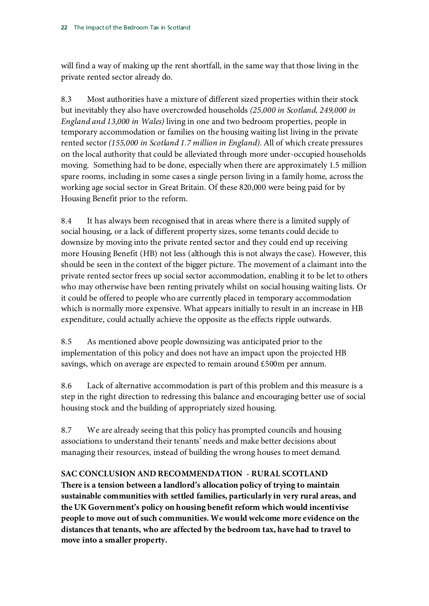will find a way of making up the rent shortfall, in the same way that those living in the private rented sector already do.

8.3 Most authorities have a mixture of different sized properties within their stock but inevitably they also have overcrowded households *(25,000 in Scotland, 249,000 in England and 13,000 in Wales)* living in one and two bedroom properties, people in temporary accommodation or families on the housing waiting list living in the private rented sector *(155,000 in Scotland 1.7 million in England)*. All of which create pressures on the local authority that could be alleviated through more under-occupied households moving. Something had to be done, especially when there are approximately 1.5 million spare rooms, including in some cases a single person living in a family home, across the working age social sector in Great Britain. Of these 820,000 were being paid for by Housing Benefit prior to the reform.

8.4 It has always been recognised that in areas where there is a limited supply of social housing, or a lack of different property sizes, some tenants could decide to downsize by moving into the private rented sector and they could end up receiving more Housing Benefit (HB) not less (although this is not always the case). However, this should be seen in the context of the bigger picture. The movement of a claimant into the private rented sector frees up social sector accommodation, enabling it to be let to others who may otherwise have been renting privately whilst on social housing waiting lists. Or it could be offered to people who are currently placed in temporary accommodation which is normally more expensive. What appears initially to result in an increase in HB expenditure, could actually achieve the opposite as the effects ripple outwards.

8.5 As mentioned above people downsizing was anticipated prior to the implementation of this policy and does not have an impact upon the projected HB savings, which on average are expected to remain around £500m per annum.

8.6 Lack of alternative accommodation is part of this problem and this measure is a step in the right direction to redressing this balance and encouraging better use of social housing stock and the building of appropriately sized housing.

8.7 We are already seeing that this policy has prompted councils and housing associations to understand their tenants' needs and make better decisions about managing their resources, instead of building the wrong houses to meet demand.

## **SAC CONCLUSION AND RECOMMENDATION - RURAL SCOTLAND**

**There is a tension between a landlord's allocation policy of trying to maintain sustainable communities with settled families, particularly in very rural areas, and the UK Government's policy on housing benefit reform which would incentivise people to move out of such communities. We would welcome more evidence on the distances that tenants, who are affected by the bedroom tax, have had to travel to move into a smaller property.**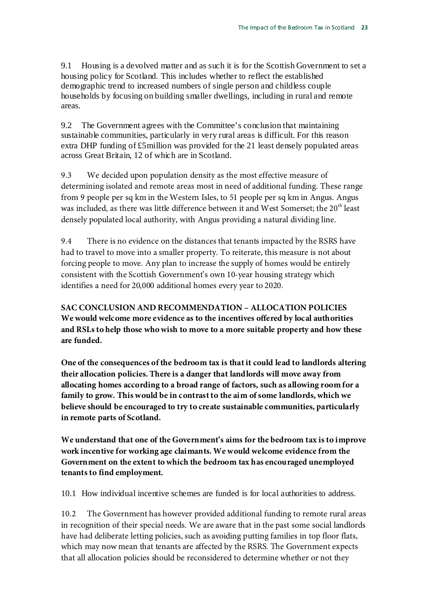9.1 Housing is a devolved matter and as such it is for the Scottish Government to set a housing policy for Scotland. This includes whether to reflect the established demographic trend to increased numbers of single person and childless couple households by focusing on building smaller dwellings, including in rural and remote areas.

9.2 The Government agrees with the Committee's conclusion that maintaining sustainable communities, particularly in very rural areas is difficult. For this reason extra DHP funding of £5million was provided for the 21 least densely populated areas across Great Britain, 12 of which are in Scotland.

9.3 We decided upon population density as the most effective measure of determining isolated and remote areas most in need of additional funding. These range from 9 people per sq km in the Western Isles, to 51 people per sq km in Angus. Angus was included, as there was little difference between it and West Somerset; the 20<sup>th</sup> least densely populated local authority, with Angus providing a natural dividing line.

9.4 There is no evidence on the distances that tenants impacted by the RSRS have had to travel to move into a smaller property. To reiterate, this measure is not about forcing people to move. Any plan to increase the supply of homes would be entirely consistent with the Scottish Government's own 10-year housing strategy which identifies a need for 20,000 additional homes every year to 2020.

**SAC CONCLUSION AND RECOMMENDATION – ALLOCATION POLICIES We would welcome more evidence as to the incentives offered by local authorities and RSLs to help those who wish to move to a more suitable property and how these are funded.**

**One of the consequences of the bedroom tax is that it could lead to landlords altering their allocation policies. There is a danger that landlords will move away from allocating homes according to a broad range of factors, such as allowing room for a family to grow. This would be in contrast to the aim of some landlords, which we believe should be encouraged to try to create sustainable communities, particularly in remote parts of Scotland.**

**We understand that one of the Government's aims for the bedroom tax is to improve work incentive for working age claimants. We would welcome evidence from the Government on the extent to which the bedroom tax has encouraged unemployed tenants to find employment.**

10.1 How individual incentive schemes are funded is for local authorities to address.

10.2 The Government has however provided additional funding to remote rural areas in recognition of their special needs. We are aware that in the past some social landlords have had deliberate letting policies, such as avoiding putting families in top floor flats, which may now mean that tenants are affected by the RSRS. The Government expects that all allocation policies should be reconsidered to determine whether or not they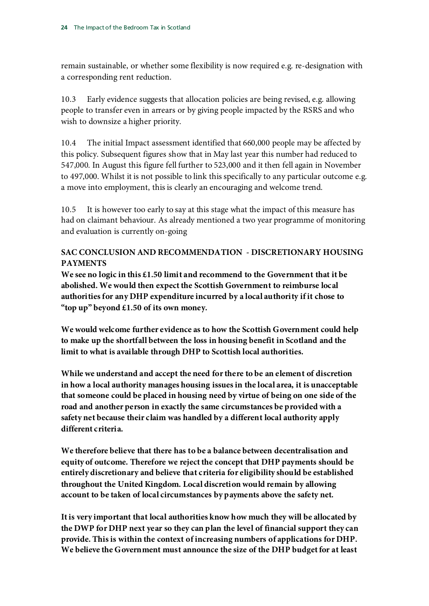remain sustainable, or whether some flexibility is now required e.g. re-designation with a corresponding rent reduction.

10.3 Early evidence suggests that allocation policies are being revised, e.g. allowing people to transfer even in arrears or by giving people impacted by the RSRS and who wish to downsize a higher priority.

10.4 The initial Impact assessment identified that 660,000 people may be affected by this policy. Subsequent figures show that in May last year this number had reduced to 547,000. In August this figure fell further to 523,000 and it then fell again in November to 497,000. Whilst it is not possible to link this specifically to any particular outcome e.g. a move into employment, this is clearly an encouraging and welcome trend.

10.5 It is however too early to say at this stage what the impact of this measure has had on claimant behaviour. As already mentioned a two year programme of monitoring and evaluation is currently on-going

## **SAC CONCLUSION AND RECOMMENDATION - DISCRETIONARY HOUSING PAYMENTS**

**We see no logic in this £1.50 limit and recommend to the Government that it be abolished. We would then expect the Scottish Government to reimburse local authorities for any DHP expenditure incurred by a local authority if it chose to "top up" beyond £1.50 of its own money.**

**We would welcome further evidence as to how the Scottish Government could help to make up the shortfall between the loss in housing benefit in Scotland and the limit to what is available through DHP to Scottish local authorities.**

**While we understand and accept the need for there to be an element of discretion in how a local authority manages housing issues in the local area, it is unacceptable that someone could be placed in housing need by virtue of being on one side of the road and another person in exactly the same circumstances be provided with a safety net because their claim was handled by a different local authority apply different criteria.**

**We therefore believe that there has to be a balance between decentralisation and equity of outcome. Therefore we reject the concept that DHP payments should be entirely discretionary and believe that criteria for eligibility should be established throughout the United Kingdom. Local discretion would remain by allowing account to be taken of local circumstances by payments above the safety net.**

**It is very important that local authorities know how much they will be allocated by the DWP for DHP next year so they can plan the level of financial support they can provide. This is within the context of increasing numbers of applications for DHP. We believe the Government must announce the size of the DHP budget for at least**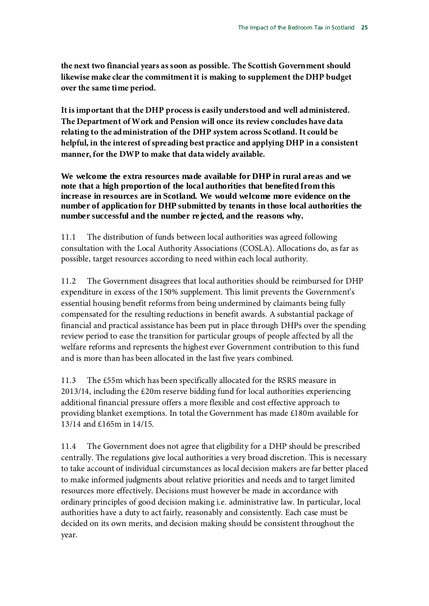**the next two financial years as soon as possible. The Scottish Government should likewise make clear the commitment it is making to supplement the DHP budget over the same time period.**

**It is important that the DHP process is easily understood and well administered. The Department of Work and Pension will once its review concludes have data relating to the administration of the DHP system across Scotland. It could be helpful, in the interest of spreading best practice and applying DHP in a consistent manner, for the DWP to make that data widely available.**

**We welcome the extra resources made available for DHP in rural areas and we note that a high proportion of the local authorities that benefited from this increase in resources are in Scotland. We would welcome more evidence on the number of application for DHP submitted by tenants in those local authorities the number successful and the number rejected, and the reasons why.**

11.1 The distribution of funds between local authorities was agreed following consultation with the Local Authority Associations (COSLA). Allocations do, as far as possible, target resources according to need within each local authority.

11.2 The Government disagrees that local authorities should be reimbursed for DHP expenditure in excess of the 150% supplement. This limit prevents the Government's essential housing benefit reforms from being undermined by claimants being fully compensated for the resulting reductions in benefit awards. A substantial package of financial and practical assistance has been put in place through DHPs over the spending review period to ease the transition for particular groups of people affected by all the welfare reforms and represents the highest ever Government contribution to this fund and is more than has been allocated in the last five years combined.

11.3 The £55m which has been specifically allocated for the RSRS measure in 2013/14, including the £20m reserve bidding fund for local authorities experiencing additional financial pressure offers a more flexible and cost effective approach to providing blanket exemptions. In total the Government has made £180m available for 13/14 and £165m in 14/15.

11.4 The Government does not agree that eligibility for a DHP should be prescribed centrally. The regulations give local authorities a very broad discretion. This is necessary to take account of individual circumstances as local decision makers are far better placed to make informed judgments about relative priorities and needs and to target limited resources more effectively. Decisions must however be made in accordance with ordinary principles of good decision making i.e. administrative law. In particular, local authorities have a duty to act fairly, reasonably and consistently. Each case must be decided on its own merits, and decision making should be consistent throughout the year.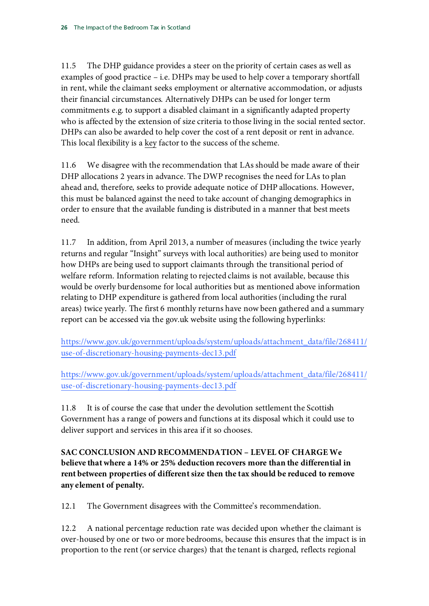11.5 The DHP guidance provides a steer on the priority of certain cases as well as examples of good practice – i.e. DHPs may be used to help cover a temporary shortfall in rent, while the claimant seeks employment or alternative accommodation, or adjusts their financial circumstances. Alternatively DHPs can be used for longer term commitments e.g. to support a disabled claimant in a significantly adapted property who is affected by the extension of size criteria to those living in the social rented sector. DHPs can also be awarded to help cover the cost of a rent deposit or rent in advance. This local flexibility is a key factor to the success of the scheme.

11.6 We disagree with the recommendation that LAs should be made aware of their DHP allocations 2 years in advance. The DWP recognises the need for LAs to plan ahead and, therefore, seeks to provide adequate notice of DHP allocations. However, this must be balanced against the need to take account of changing demographics in order to ensure that the available funding is distributed in a manner that best meets need.

11.7 In addition, from April 2013, a number of measures (including the twice yearly returns and regular "Insight" surveys with local authorities) are being used to monitor how DHPs are being used to support claimants through the transitional period of welfare reform. Information relating to rejected claims is not available, because this would be overly burdensome for local authorities but as mentioned above information relating to DHP expenditure is gathered from local authorities (including the rural areas) twice yearly. The first 6 monthly returns have now been gathered and a summary report can be accessed via the gov.uk website using the following hyperlinks:

[https://www.gov.uk/government/uploads/system/uploads/attachment\\_data/file/268411/](https://www.gov.uk/government/uploads/system/uploads/attachment_data/file/268411/use-of-discretionary-housing-payments-dec13.pdf) [use-of-discretionary-housing-payments-dec13.pdf](https://www.gov.uk/government/uploads/system/uploads/attachment_data/file/268411/use-of-discretionary-housing-payments-dec13.pdf) 

[https://www.gov.uk/government/uploads/system/uploads/attachment\\_data/file/268411/](https://www.gov.uk/government/uploads/system/uploads/attachment_data/file/268411/use-of-discretionary-housing-payments-dec13.pdf) [use-of-discretionary-housing-payments-dec13.pdf](https://www.gov.uk/government/uploads/system/uploads/attachment_data/file/268411/use-of-discretionary-housing-payments-dec13.pdf)

11.8 It is of course the case that under the devolution settlement the Scottish Government has a range of powers and functions at its disposal which it could use to deliver support and services in this area if it so chooses.

**SAC CONCLUSION AND RECOMMENDATION – LEVEL OF CHARGE We believe that where a 14% or 25% deduction recovers more than the differential in rent between properties of different size then the tax should be reduced to remove any element of penalty.**

12.1 The Government disagrees with the Committee's recommendation.

12.2 A national percentage reduction rate was decided upon whether the claimant is over-housed by one or two or more bedrooms, because this ensures that the impact is in proportion to the rent (or service charges) that the tenant is charged, reflects regional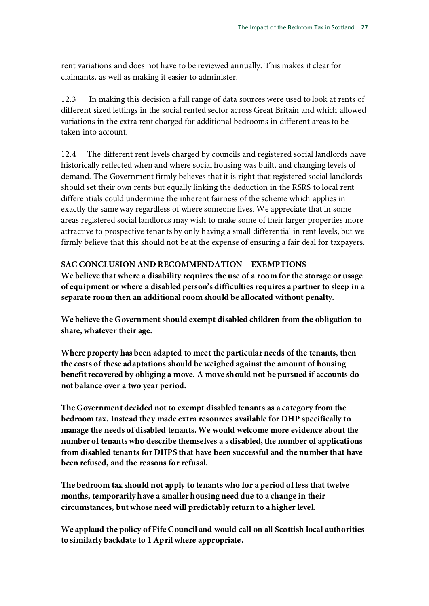rent variations and does not have to be reviewed annually. This makes it clear for claimants, as well as making it easier to administer.

12.3 In making this decision a full range of data sources were used to look at rents of different sized lettings in the social rented sector across Great Britain and which allowed variations in the extra rent charged for additional bedrooms in different areas to be taken into account.

12.4 The different rent levels charged by councils and registered social landlords have historically reflected when and where social housing was built, and changing levels of demand. The Government firmly believes that it is right that registered social landlords should set their own rents but equally linking the deduction in the RSRS to local rent differentials could undermine the inherent fairness of the scheme which applies in exactly the same way regardless of where someone lives. We appreciate that in some areas registered social landlords may wish to make some of their larger properties more attractive to prospective tenants by only having a small differential in rent levels, but we firmly believe that this should not be at the expense of ensuring a fair deal for taxpayers.

### **SAC CONCLUSION AND RECOMMENDATION - EXEMPTIONS**

**We believe that where a disability requires the use of a room for the storage or usage of equipment or where a disabled person's difficulties requires a partner to sleep in a separate room then an additional room should be allocated without penalty.**

**We believe the Government should exempt disabled children from the obligation to share, whatever their age.**

**Where property has been adapted to meet the particular needs of the tenants, then the costs of these adaptations should be weighed against the amount of housing benefit recovered by obliging a move. A move should not be pursued if accounts do not balance over a two year period.**

**The Government decided not to exempt disabled tenants as a category from the bedroom tax. Instead they made extra resources available for DHP specifically to manage the needs of disabled tenants. We would welcome more evidence about the number of tenants who describe themselves a s disabled, the number of applications from disabled tenants for DHPS that have been successful and the number that have been refused, and the reasons for refusal.**

**The bedroom tax should not apply to tenants who for a period of less that twelve months, temporarily have a smaller housing need due to a change in their circumstances, but whose need will predictably return to a higher level.**

**We applaud the policy of Fife Council and would call on all Scottish local authorities to similarly backdate to 1 April where appropriate.**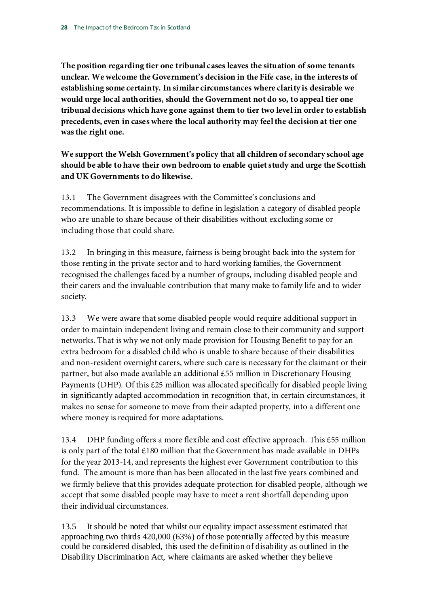**The position regarding tier one tribunal cases leaves the situation of some tenants unclear. We welcome the Government's decision in the Fife case, in the interests of establishing some certainty. In similar circumstances where clarity is desirable we would urge local authorities, should the Government not do so, to appeal tier one tribunal decisions which have gone against them to tier two level in order to establish precedents, even in cases where the local authority may feel the decision at tier one was the right one.**

**We support the Welsh Government's policy that all children of secondary school age should be able to have their own bedroom to enable quiet study and urge the Scottish and UK Governments to do likewise.**

13.1 The Government disagrees with the Committee's conclusions and recommendations. It is impossible to define in legislation a category of disabled people who are unable to share because of their disabilities without excluding some or including those that could share.

13.2 In bringing in this measure, fairness is being brought back into the system for those renting in the private sector and to hard working families, the Government recognised the challenges faced by a number of groups, including disabled people and their carers and the invaluable contribution that many make to family life and to wider society.

13.3 We were aware that some disabled people would require additional support in order to maintain independent living and remain close to their community and support networks. That is why we not only made provision for Housing Benefit to pay for an extra bedroom for a disabled child who is unable to share because of their disabilities and non-resident overnight carers, where such care is necessary for the claimant or their partner, but also made available an additional £55 million in Discretionary Housing Payments (DHP). Of this £25 million was allocated specifically for disabled people living in significantly adapted accommodation in recognition that, in certain circumstances, it makes no sense for someone to move from their adapted property, into a different one where money is required for more adaptations.

13.4 DHP funding offers a more flexible and cost effective approach. This £55 million is only part of the total  $£180$  million that the Government has made available in DHPs for the year 2013-14, and represents the highest ever Government contribution to this fund. The amount is more than has been allocated in the last five years combined and we firmly believe that this provides adequate protection for disabled people, although we accept that some disabled people may have to meet a rent shortfall depending upon their individual circumstances.

13.5 It should be noted that whilst our equality impact assessment estimated that approaching two thirds 420,000 (63%) of those potentially affected by this measure could be considered disabled, this used the definition of disability as outlined in the Disability Discrimination Act, where claimants are asked whether they believe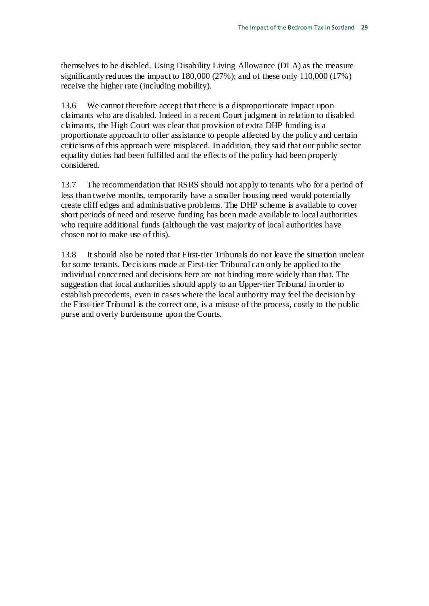themselves to be disabled. Using Disability Living Allowance (DLA) as the measure significantly reduces the impact to 180,000 (27%); and of these only 110,000 (17%) receive the higher rate (including mobility).

13.6 We cannot therefore accept that there is a disproportionate impact upon claimants who are disabled. Indeed in a recent Court judgment in relation to disabled claimants, the High Court was clear that provision of extra DHP funding is a proportionate approach to offer assistance to people affected by the policy and certain criticisms of this approach were misplaced. In addition, they said that our public sector equality duties had been fulfilled and the effects of the policy had been properly considered.

13.7 The recommendation that RSRS should not apply to tenants who for a period of less than twelve months, temporarily have a smaller housing need would potentially create cliff edges and administrative problems. The DHP scheme is available to cover short periods of need and reserve funding has been made available to local authorities who require additional funds (although the vast majority of local authorities have chosen not to make use of this).

13.8 It should also be noted that First-tier Tribunals do not leave the situation unclear for some tenants. Decisions made at First-tier Tribunal can only be applied to the individual concerned and decisions here are not binding more widely than that. The suggestion that local authorities should apply to an Upper-tier Tribunal in order to establish precedents, even in cases where the local authority may feel the decision by the First-tier Tribunal is the correct one, is a misuse of the process, costly to the public purse and overly burdensome upon the Courts.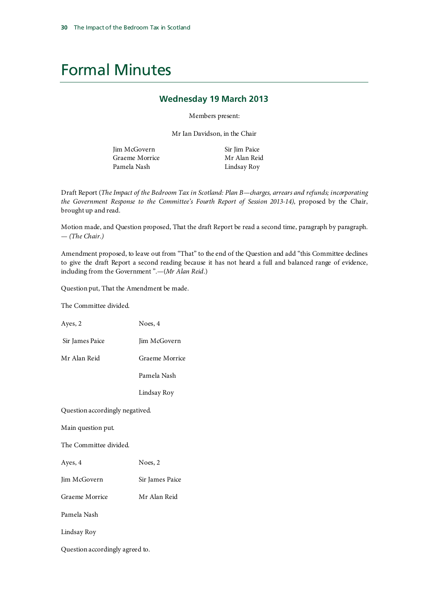## Formal Minutes

#### **Wednesday 19 March 2013**

Members present:

Mr Ian Davidson, in the Chair

Jim McGovern Graeme Morrice Pamela Nash

Sir Jim Paice Mr Alan Reid Lindsay Roy

Draft Report (*The Impact of the Bedroom Tax in Scotland: Plan B—charges, arrears and refunds; incorporating the Government Response to the Committee's Fourth Report of Session 2013-14)*, proposed by the Chair, brought up and read.

Motion made, and Question proposed, That the draft Report be read a second time, paragraph by paragraph. — *(The Chair.)*

Amendment proposed, to leave out from "That" to the end of the Question and add "this Committee declines to give the draft Report a second reading because it has not heard a full and balanced range of evidence, including from the Government ".—(*Mr Alan Reid*.)

Question put, That the Amendment be made.

The Committee divided.

Ayes, 2 Noes, 4

Sir James Paice Jim McGovern

Mr Alan Reid Graeme Morrice

Pamela Nash

Lindsay Roy

Question accordingly negatived.

Main question put.

The Committee divided.

Ayes, 4 Noes, 2

Jim McGovern Sir James Paice

Graeme Morrice Mr Alan Reid

Pamela Nash

Lindsay Roy

Question accordingly agreed to.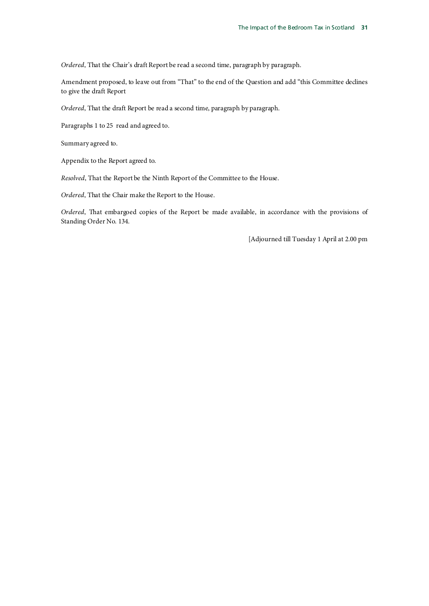*Ordered*, That the Chair's draft Report be read a second time, paragraph by paragraph.

Amendment proposed, to leave out from "That" to the end of the Question and add "this Committee declines to give the draft Report

*Ordered*, That the draft Report be read a second time, paragraph by paragraph.

Paragraphs 1 to 25 read and agreed to.

Summary agreed to.

Appendix to the Report agreed to.

*Resolved*, That the Report be the Ninth Report of the Committee to the House.

*Ordered*, That the Chair make the Report to the House.

*Ordered*, That embargoed copies of the Report be made available, in accordance with the provisions of Standing Order No. 134.

[Adjourned till Tuesday 1 April at 2.00 pm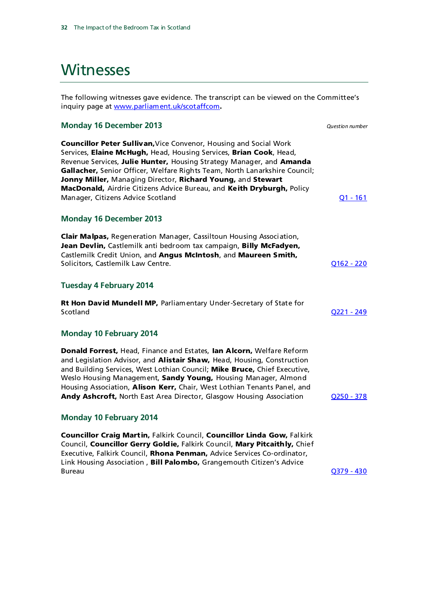## **Witnesses**

The following witnesses gave evidence. The transcript can be viewed on the Committee's inquiry page at [www.parliament.uk/scotaffcom](http://www.parliament.uk/scotaffcom).

#### **Monday 16 December 2013** *Question number*

Councillor Peter Sullivan,Vice Convenor, Housing and Social Work Services, Elaine McHugh, Head, Housing Services, Brian Cook, Head, Revenue Services, Julie Hunter, Housing Strategy Manager, and Amanda Gallacher, Senior Officer, Welfare Rights Team, North Lanarkshire Council; Jonny Miller, Managing Director, Richard Young, and Stewart MacDonald, Airdrie Citizens Advice Bureau, and Keith Dryburgh, Policy Manager, Citizens Advice Scotland Canadian Communication of the Communication of the Communication of the Communication of the Communication of the Communication of the Communication of the Communication of the Communicati

#### **Monday 16 December 2013**

Clair Malpas, Regeneration Manager, Cassiltoun Housing Association, Jean Devlin, Castlemilk anti bedroom tax campaign, Billy McFadyen, Castlemilk Credit Union, and Angus McIntosh, and Maureen Smith, Solicitors, Castlemilk Law Centre. Castle and Content of Castle and Content of Castle and Content of Content of Content of Content of Content of Content of Content of Content of Content of Content of Content of Content of

#### **Tuesday 4 February 2014**

Rt Hon David Mundell MP, Parliamentary Under-Secretary of State for Scotland [Q221 -](http://data.parliament.uk/writtenevidence/WrittenEvidence.svc/EvidenceHtml/6798) 249

#### **Monday 10 February 2014**

Donald Forrest, Head, Finance and Estates, Ian Alcorn, Welfare Reform and Legislation Advisor, and Alistair Shaw, Head, Housing, Construction and Building Services, West Lothian Council; **Mike Bruce**, Chief Executive, Weslo Housing Management, Sandy Young, Housing Manager, Almond Housing Association, **Alison Kerr,** Chair, West Lothian Tenants Panel, and Andy Ashcroft, North East Area Director, Glasgow Housing Association 0250 - 378

#### **Monday 10 February 2014**

Councillor Craig Martin, Falkirk Council, Councillor Linda Gow, Falkirk Council, Councillor Gerry Goldie, Falkirk Council, Mary Pitcaithly, Chief Executive, Falkirk Council, Rhona Penman, Advice Services Co-ordinator, Link Housing Association, Bill Palombo, Grangemouth Citizen's Advice Bureau [Q379 -](http://data.parliament.uk/writtenevidence/WrittenEvidence.svc/EvidenceHtml/6802) 430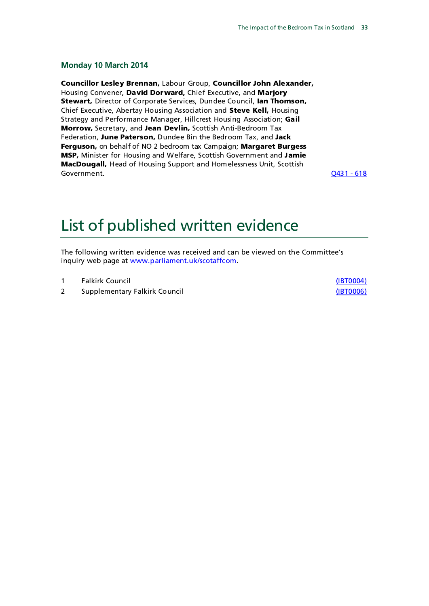#### **Monday 10 March 2014**

Councillor Lesley Brennan, Labour Group, Councillor John Alexander, Housing Convener, David Dorward, Chief Executive, and Marjory Stewart, Director of Corporate Services, Dundee Council, Ian Thomson, Chief Executive, Abertay Housing Association and Steve Kell, Housing Strategy and Performance Manager, Hillcrest Housing Association; Gail Morrow, Secretary, and Jean Devlin, Scottish Anti-Bedroom Tax Federation, June Paterson, Dundee Bin the Bedroom Tax, and Jack Ferguson, on behalf of NO 2 bedroom tax Campaign; Margaret Burgess MSP, Minister for Housing and Welfare, Scottish Government and Jamie MacDougall, Head of Housing Support and Homelessness Unit, Scottish Government. [Q431 -](http://data.parliament.uk/writtenevidence/WrittenEvidence.svc/EvidenceHtml/7350) 618

## List of published written evidence

The following written evidence was received and can be viewed on the Committee's inquiry web page at [www.parliament.uk/scotaffcom.](http://www.parliament.uk/scotaffcom)

- 1 Falkirk Council [\(IBT0004\)](http://data.parliament.uk/writtenevidence/WrittenEvidence.svc/EvidenceHtml/6014)
- 2 Supplementary Falkirk Council **Example 2** Supplementary Falkirk Council **[\(IBT0006\)](http://data.parliament.uk/writtenevidence/WrittenEvidence.svc/EvidenceHtml/6794)**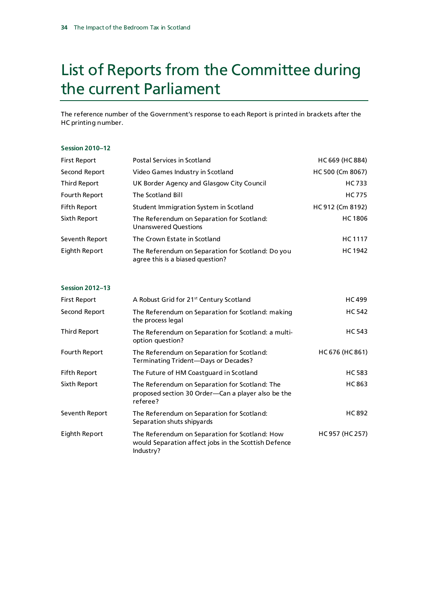## List of Reports from the Committee during the current Parliament

The reference number of the Government's response to each Report is printed in brackets after the HC printing number.

#### **Session 2010–12**

| <b>First Report</b> | Postal Services in Scotland                                                           | HC 669 (HC 884)  |
|---------------------|---------------------------------------------------------------------------------------|------------------|
| Second Report       | Video Games Industry in Scotland                                                      | HC 500 (Cm 8067) |
| Third Report        | UK Border Agency and Glasgow City Council                                             | HC 733           |
| Fourth Report       | The Scotland Bill                                                                     | <b>HC775</b>     |
| <b>Fifth Report</b> | Student Immigration System in Scotland                                                | HC912 (Cm 8192)  |
| Sixth Report        | The Referendum on Separation for Scotland:<br>Unanswered Questions                    | <b>HC1806</b>    |
| Seventh Report      | The Crown Estate in Scotland                                                          | HC 1117          |
| Eighth Report       | The Referendum on Separation for Scotland: Do you<br>agree this is a biased question? | <b>HC1942</b>    |

#### **Session 2012–13**

| <b>First Report</b> | A Robust Grid for 21 <sup>st</sup> Century Scotland                                                                 | <b>HC499</b>    |
|---------------------|---------------------------------------------------------------------------------------------------------------------|-----------------|
| Second Report       | The Referendum on Separation for Scotland: making<br>the process legal                                              | <b>HC542</b>    |
| Third Report        | The Referendum on Separation for Scotland: a multi-<br>option question?                                             | <b>HC543</b>    |
| Fourth Report       | The Referendum on Separation for Scotland:<br>Terminating Trident—Days or Decades?                                  | HC 676 (HC 861) |
| <b>Fifth Report</b> | The Future of HM Coastguard in Scotland                                                                             | <b>HC583</b>    |
| Sixth Report        | The Referendum on Separation for Scotland: The<br>proposed section 30 Order—Can a player also be the<br>referee?    | <b>HC863</b>    |
| Seventh Report      | The Referendum on Separation for Scotland:<br>Separation shuts shipyards                                            | <b>HC892</b>    |
| Eighth Report       | The Referendum on Separation for Scotland: How<br>would Separation affect jobs in the Scottish Defence<br>Industry? | HC957 (HC257)   |